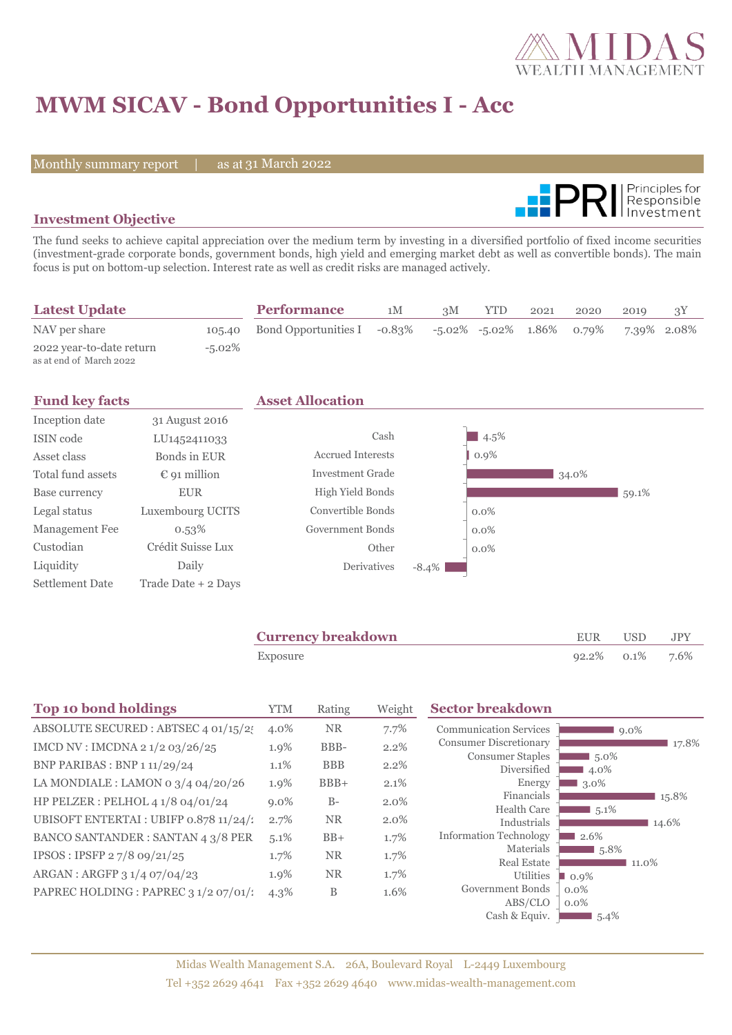

# **MWM SICAV - Bond Opportunities I - Acc**

Monthly summary report | as at 31 March 2022



### **Investment Objective**

The fund seeks to achieve capital appreciation over the medium term by investing in a diversified portfolio of fixed income securities (investment-grade corporate bonds, government bonds, high yield and emerging market debt as well as convertible bonds). The main focus is put on bottom-up selection. Interest rate as well as credit risks are managed actively.

| <b>Latest Update</b>                                |           | <b>Performance</b>                                           | 1M | 3M | YTD | 2021 | 2020 | 2019        |  |
|-----------------------------------------------------|-----------|--------------------------------------------------------------|----|----|-----|------|------|-------------|--|
| NAV per share                                       |           | 105.40 Bond Opportunities I -0.83% -5.02% -5.02% 1.86% 0.79% |    |    |     |      |      | 7.39% 2.08% |  |
| 2022 year-to-date return<br>as at end of March 2022 | $-5.02\%$ |                                                              |    |    |     |      |      |             |  |

| <b>Fund key facts</b> |                          | <b>Asset Allocation</b>  |          |         |       |       |
|-----------------------|--------------------------|--------------------------|----------|---------|-------|-------|
| Inception date        | 31 August 2016           |                          |          |         |       |       |
| ISIN code             | LU <sub>1452411033</sub> | Cash                     |          | $4.5\%$ |       |       |
| Asset class           | Bonds in EUR             | <b>Accrued Interests</b> |          | $0.9\%$ |       |       |
| Total fund assets     | $\epsilon$ 91 million    | <b>Investment Grade</b>  |          |         | 34.0% |       |
| Base currency         | <b>EUR</b>               | High Yield Bonds         |          |         |       | 59.1% |
| Legal status          | Luxembourg UCITS         | Convertible Bonds        |          | $0.0\%$ |       |       |
| Management Fee        | 0.53%                    | Government Bonds         |          | $0.0\%$ |       |       |
| Custodian             | Crédit Suisse Lux        | Other                    |          | $0.0\%$ |       |       |
| Liquidity             | Daily                    | <b>Derivatives</b>       | $-8.4\%$ |         |       |       |
| Settlement Date       | Trade Date + 2 Days      |                          |          |         |       |       |

| <b>Currency breakdown</b> | EUR                | USD. | JPY |
|---------------------------|--------------------|------|-----|
| Exposure                  | $92.2\%$ 0.1% 7.6% |      |     |

| <b>Top 10 bond holdings</b>              | <b>YTM</b> | Rating     | Weight | <b>Sector breakdown</b>                |                     |
|------------------------------------------|------------|------------|--------|----------------------------------------|---------------------|
| ABSOLUTE SECURED : ABTSEC 4 01/15/25     | 4.0%       | <b>NR</b>  | 7.7%   | <b>Communication Services</b>          | $9.0\%$             |
| IMCD NV : IMCDNA 2 1/2 03/26/25          | 1.9%       | BBB-       | 2.2%   | <b>Consumer Discretionary</b>          | 17.8%               |
| BNP PARIBAS : BNP 1 11/29/24             | 1.1%       | <b>BBB</b> | 2.2%   | <b>Consumer Staples</b><br>Diversified | 5.0%<br>4.0%        |
| LA MONDIALE : LAMON 0 $3/4$ 04/20/26     | 1.9%       | $BBB+$     | 2.1%   | Energy                                 | 3.0%                |
| HP PELZER : PELHOL 4 1/8 04/01/24        | $9.0\%$    | $B-$       | 2.0%   | Financials                             | 15.8%               |
| UBISOFT ENTERTAI : UBIFP 0.878 11/24/1   | 2.7%       | <b>NR</b>  | 2.0%   | <b>Health Care</b><br>Industrials      | $1,5.1\%$<br>14.6%  |
| <b>BANCO SANTANDER: SANTAN 4 3/8 PER</b> | $5.1\%$    | $BB+$      | 1.7%   | <b>Information Technology</b>          | 2.6%                |
| IPSOS: IPSFP 27/8 09/21/25               | 1.7%       | <b>NR</b>  | 1.7%   | Materials                              | $\blacksquare$ 5.8% |
|                                          |            |            |        | <b>Real Estate</b>                     | 11.0%               |
| ARGAN : ARGFP 3 1/4 07/04/23             | 1.9%       | <b>NR</b>  | 1.7%   | Utilities                              | $\blacksquare$ 0.9% |
| PAPREC HOLDING : PAPREC 3 1/2 07/01/2    | $4.3\%$    | B          | 1.6%   | Government Bonds                       | $0.0\%$             |
|                                          |            |            |        | ABS/CLO                                | $0.0\%$             |
|                                          |            |            |        | Cash & Equiv.                          | $5.4\%$             |